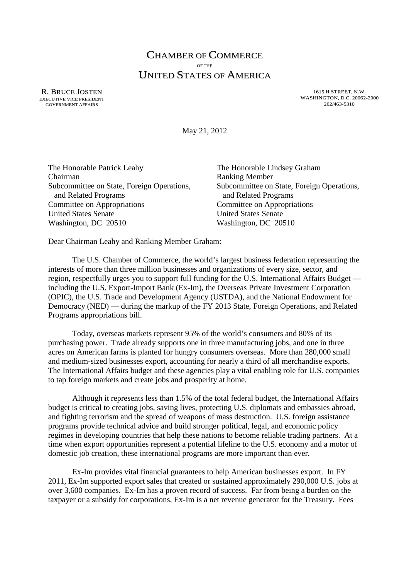## CHAMBER OF COMMERCE OF THE UNITED STATES OF AMERICA

R. BRUCE JOSTEN EXECUTIVE VICE PRESIDENT GOVERNMENT AFFAIRS

1615 H STREET, N.W. WASHINGTON, D.C. 20062-2000 202/463-5310

May 21, 2012

| The Honorable Patrick Leahy                |
|--------------------------------------------|
| Chairman                                   |
| Subcommittee on State, Foreign Operations, |
| and Related Programs                       |
| Committee on Appropriations                |
| <b>United States Senate</b>                |
| Washington, DC 20510                       |
|                                            |

The Honorable Lindsey Graham Ranking Member Subcommittee on State, Foreign Operations, and Related Programs Committee on Appropriations **United States Senate** Washington, DC 20510

Dear Chairman Leahy and Ranking Member Graham:

The U.S. Chamber of Commerce, the world's largest business federation representing the interests of more than three million businesses and organizations of every size, sector, and region, respectfully urges you to support full funding for the U.S. International Affairs Budget including the U.S. Export-Import Bank (Ex-Im), the Overseas Private Investment Corporation (OPIC), the U.S. Trade and Development Agency (USTDA), and the National Endowment for Democracy (NED) — during the markup of the FY 2013 State, Foreign Operations, and Related Programs appropriations bill.

Today, overseas markets represent 95% of the world's consumers and 80% of its purchasing power. Trade already supports one in three manufacturing jobs, and one in three acres on American farms is planted for hungry consumers overseas. More than 280,000 small and medium-sized businesses export, accounting for nearly a third of all merchandise exports. The International Affairs budget and these agencies play a vital enabling role for U.S. companies to tap foreign markets and create jobs and prosperity at home.

Although it represents less than 1.5% of the total federal budget, the International Affairs budget is critical to creating jobs, saving lives, protecting U.S. diplomats and embassies abroad, and fighting terrorism and the spread of weapons of mass destruction. U.S. foreign assistance programs provide technical advice and build stronger political, legal, and economic policy regimes in developing countries that help these nations to become reliable trading partners. At a time when export opportunities represent a potential lifeline to the U.S. economy and a motor of domestic job creation, these international programs are more important than ever.

Ex-Im provides vital financial guarantees to help American businesses export. In FY 2011, Ex-Im supported export sales that created or sustained approximately 290,000 U.S. jobs at over 3,600 companies. Ex-Im has a proven record of success. Far from being a burden on the taxpayer or a subsidy for corporations, Ex-Im is a net revenue generator for the Treasury. Fees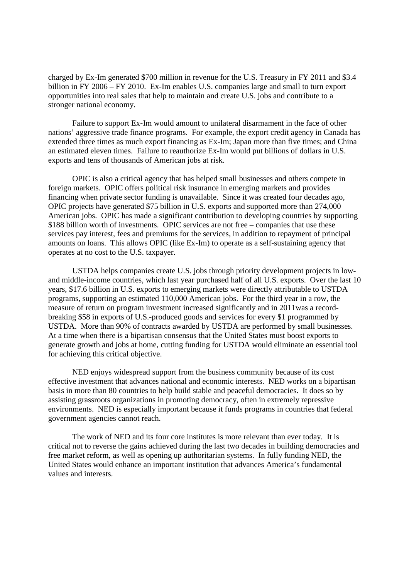charged by Ex-Im generated \$700 million in revenue for the U.S. Treasury in FY 2011 and \$3.4 billion in FY 2006 – FY 2010. Ex-Im enables U.S. companies large and small to turn export opportunities into real sales that help to maintain and create U.S. jobs and contribute to a stronger national economy.

Failure to support Ex-Im would amount to unilateral disarmament in the face of other nations' aggressive trade finance programs. For example, the export credit agency in Canada has extended three times as much export financing as Ex-Im; Japan more than five times; and China an estimated eleven times. Failure to reauthorize Ex-Im would put billions of dollars in U.S. exports and tens of thousands of American jobs at risk.

OPIC is also a critical agency that has helped small businesses and others compete in foreign markets. OPIC offers political risk insurance in emerging markets and provides financing when private sector funding is unavailable. Since it was created four decades ago, OPIC projects have generated \$75 billion in U.S. exports and supported more than 274,000 American jobs. OPIC has made a significant contribution to developing countries by supporting \$188 billion worth of investments. OPIC services are not free – companies that use these services pay interest, fees and premiums for the services, in addition to repayment of principal amounts on loans. This allows OPIC (like Ex-Im) to operate as a self-sustaining agency that operates at no cost to the U.S. taxpayer.

USTDA helps companies create U.S. jobs through priority development projects in lowand middle-income countries, which last year purchased half of all U.S. exports. Over the last 10 years, \$17.6 billion in U.S. exports to emerging markets were directly attributable to USTDA programs, supporting an estimated 110,000 American jobs. For the third year in a row, the measure of return on program investment increased significantly and in 2011was a recordbreaking \$58 in exports of U.S.-produced goods and services for every \$1 programmed by USTDA. More than 90% of contracts awarded by USTDA are performed by small businesses. At a time when there is a bipartisan consensus that the United States must boost exports to generate growth and jobs at home, cutting funding for USTDA would eliminate an essential tool for achieving this critical objective.

NED enjoys widespread support from the business community because of its cost effective investment that advances national and economic interests. NED works on a bipartisan basis in more than 80 countries to help build stable and peaceful democracies. It does so by assisting grassroots organizations in promoting democracy, often in extremely repressive environments. NED is especially important because it funds programs in countries that federal government agencies cannot reach.

The work of NED and its four core institutes is more relevant than ever today. It is critical not to reverse the gains achieved during the last two decades in building democracies and free market reform, as well as opening up authoritarian systems. In fully funding NED, the United States would enhance an important institution that advances America's fundamental values and interests.